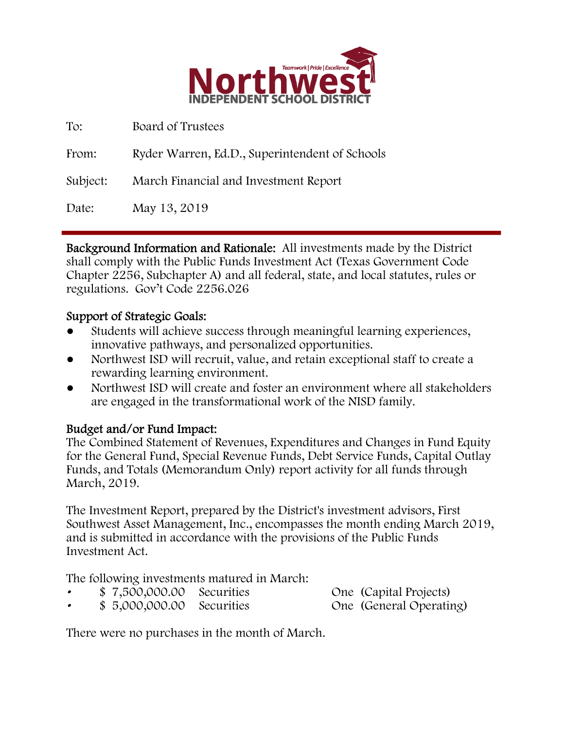

| To:      | Board of Trustees                              |
|----------|------------------------------------------------|
| From:    | Ryder Warren, Ed.D., Superintendent of Schools |
| Subject: | March Financial and Investment Report          |
| Date:    | May 13, 2019                                   |

Background Information and Rationale: All investments made by the District shall comply with the Public Funds Investment Act (Texas Government Code Chapter 2256, Subchapter A) and all federal, state, and local statutes, rules or regulations. Gov't Code 2256.026

## Support of Strategic Goals:

- Students will achieve success through meaningful learning experiences, innovative pathways, and personalized opportunities.
- Northwest ISD will recruit, value, and retain exceptional staff to create a rewarding learning environment.
- Northwest ISD will create and foster an environment where all stakeholders are engaged in the transformational work of the NISD family.

## Budget and/or Fund Impact:

The Combined Statement of Revenues, Expenditures and Changes in Fund Equity for the General Fund, Special Revenue Funds, Debt Service Funds, Capital Outlay Funds, and Totals (Memorandum Only) report activity for all funds through March, 2019.

The Investment Report, prepared by the District's investment advisors, First Southwest Asset Management, Inc., encompasses the month ending March 2019, and is submitted in accordance with the provisions of the Public Funds Investment Act.

The following investments matured in March:

- \$ 7,500,000.00 Securities One (Capital Projects)
- 
- \$ 5,000,000.00 Securities One (General Operating)

There were no purchases in the month of March.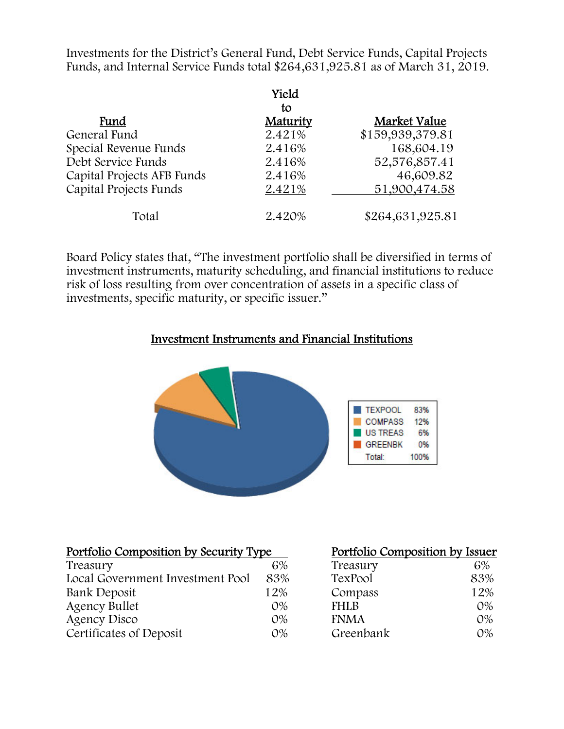Investments for the District's General Fund, Debt Service Funds, Capital Projects Funds, and Internal Service Funds total \$264,631,925.81 as of March 31, 2019.

|                            | Yield<br>tο |                  |
|----------------------------|-------------|------------------|
| Fund                       | Maturity    | Market Value     |
| General Fund               | 2.421%      | \$159,939,379.81 |
| Special Revenue Funds      | 2.416%      | 168,604.19       |
| Debt Service Funds         | 2.416%      | 52,576,857.41    |
| Capital Projects AFB Funds | 2.416%      | 46,609.82        |
| Capital Projects Funds     | 2.421%      | 51,900,474.58    |
| Total                      | 2.420%      | \$264,631,925.81 |

Board Policy states that, "The investment portfolio shall be diversified in terms of investment instruments, maturity scheduling, and financial institutions to reduce risk of loss resulting from over concentration of assets in a specific class of investments, specific maturity, or specific issuer."

#### Investment Instruments and Financial Institutions



| Portfolio Composition by Security Type |       | Portfolio Composition by Issuer |       |
|----------------------------------------|-------|---------------------------------|-------|
| Treasury                               | 6%    | Treasury                        | 6%    |
| Local Government Investment Pool       | 83%   | TexPool                         | 83%   |
| Bank Deposit                           | 12%   | Compass                         | 12%   |
| <b>Agency Bullet</b>                   | $O\%$ | <b>FHLB</b>                     | $O\%$ |
| <b>Agency Disco</b>                    | $O\%$ | <b>FNMA</b>                     | $O\%$ |
| Certificates of Deposit                | $O\%$ | Greenbank                       | $O\%$ |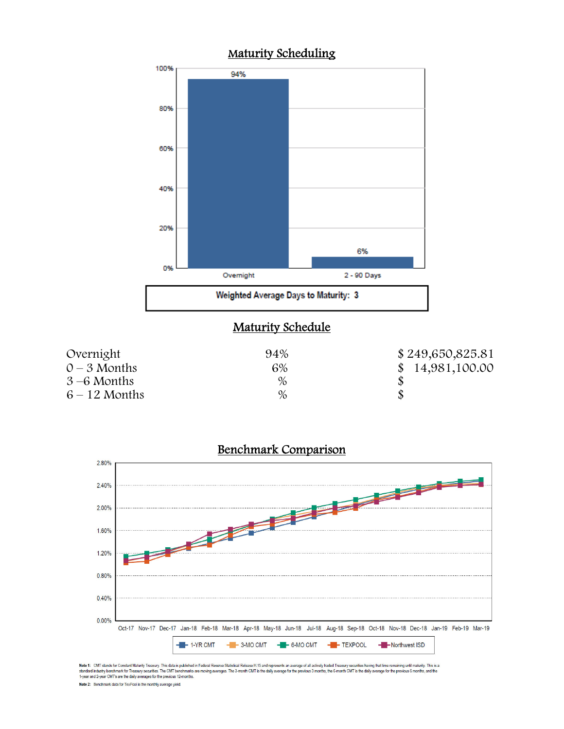





Note 1: CMT stands for Constant Maturity Treasury. This data is published in Federal Resene Statistical Release H.15 and represents an average of all actively traded Treasury securities having that time remaining until mat Note 2: Benchmark data for TexPool is the monthly average yield.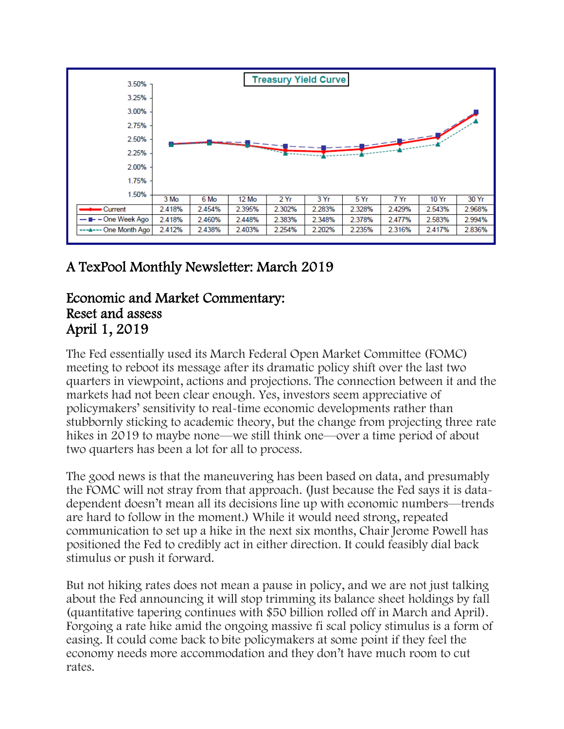

# A TexPool Monthly Newsletter: March 2019

# Economic and Market Commentary: Reset and assess April 1, 2019

The Fed essentially used its March Federal Open Market Committee (FOMC) meeting to reboot its message after its dramatic policy shift over the last two quarters in viewpoint, actions and projections. The connection between it and the markets had not been clear enough. Yes, investors seem appreciative of policymakers' sensitivity to real-time economic developments rather than stubbornly sticking to academic theory, but the change from projecting three rate hikes in 2019 to maybe none—we still think one—over a time period of about two quarters has been a lot for all to process.

The good news is that the maneuvering has been based on data, and presumably the FOMC will not stray from that approach. (Just because the Fed says it is datadependent doesn't mean all its decisions line up with economic numbers—trends are hard to follow in the moment.) While it would need strong, repeated communication to set up a hike in the next six months, Chair Jerome Powell has positioned the Fed to credibly act in either direction. It could feasibly dial back stimulus or push it forward.

But not hiking rates does not mean a pause in policy, and we are not just talking about the Fed announcing it will stop trimming its balance sheet holdings by fall (quantitative tapering continues with \$50 billion rolled off in March and April). Forgoing a rate hike amid the ongoing massive fi scal policy stimulus is a form of easing. It could come back to bite policymakers at some point if they feel the economy needs more accommodation and they don't have much room to cut rates.